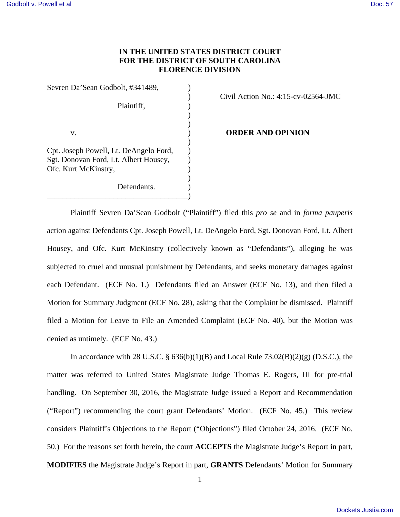# **IN THE UNITED STATES DISTRICT COURT FOR THE DISTRICT OF SOUTH CAROLINA FLORENCE DIVISION**

| Sevren Da'Sean Godbolt, #341489,       |  |
|----------------------------------------|--|
|                                        |  |
| Plaintiff.                             |  |
|                                        |  |
|                                        |  |
| V.                                     |  |
|                                        |  |
| Cpt. Joseph Powell, Lt. DeAngelo Ford, |  |
| Sgt. Donovan Ford, Lt. Albert Housey,  |  |
| Ofc. Kurt McKinstry,                   |  |
|                                        |  |
| Defendants.                            |  |
|                                        |  |

### ) Civil Action No.: 4:15-cv-02564-JMC

**ORDER AND OPINION** 

Plaintiff Sevren Da'Sean Godbolt ("Plaintiff") filed this *pro se* and in *forma pauperis* action against Defendants Cpt. Joseph Powell, Lt. DeAngelo Ford, Sgt. Donovan Ford, Lt. Albert Housey, and Ofc. Kurt McKinstry (collectively known as "Defendants"), alleging he was subjected to cruel and unusual punishment by Defendants, and seeks monetary damages against each Defendant. (ECF No. 1.) Defendants filed an Answer (ECF No. 13), and then filed a Motion for Summary Judgment (ECF No. 28), asking that the Complaint be dismissed. Plaintiff filed a Motion for Leave to File an Amended Complaint (ECF No. 40), but the Motion was denied as untimely. (ECF No. 43.)

In accordance with 28 U.S.C. §  $636(b)(1)(B)$  and Local Rule  $73.02(B)(2)(g)$  (D.S.C.), the matter was referred to United States Magistrate Judge Thomas E. Rogers, III for pre-trial handling. On September 30, 2016, the Magistrate Judge issued a Report and Recommendation ("Report") recommending the court grant Defendants' Motion. (ECF No. 45.) This review considers Plaintiff's Objections to the Report ("Objections") filed October 24, 2016. (ECF No. 50.) For the reasons set forth herein, the court **ACCEPTS** the Magistrate Judge's Report in part, **MODIFIES** the Magistrate Judge's Report in part, **GRANTS** Defendants' Motion for Summary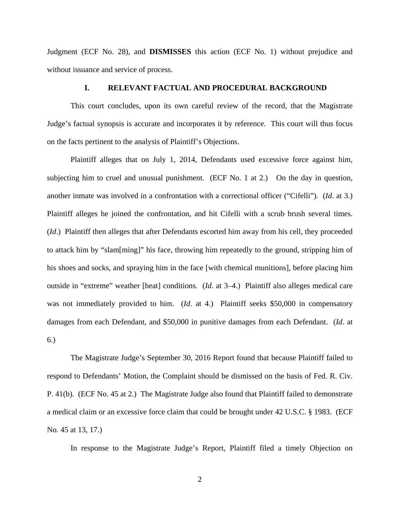Judgment (ECF No. 28), and **DISMISSES** this action (ECF No. 1) without prejudice and without issuance and service of process.

# **I. RELEVANT FACTUAL AND PROCEDURAL BACKGROUND**

This court concludes, upon its own careful review of the record, that the Magistrate Judge's factual synopsis is accurate and incorporates it by reference. This court will thus focus on the facts pertinent to the analysis of Plaintiff's Objections.

Plaintiff alleges that on July 1, 2014, Defendants used excessive force against him, subjecting him to cruel and unusual punishment. (ECF No. 1 at 2.) On the day in question, another inmate was involved in a confrontation with a correctional officer ("Cifelli"). (*Id*. at 3.) Plaintiff alleges he joined the confrontation, and hit Cifelli with a scrub brush several times. (*Id*.) Plaintiff then alleges that after Defendants escorted him away from his cell, they proceeded to attack him by "slam[ming]" his face, throwing him repeatedly to the ground, stripping him of his shoes and socks, and spraying him in the face [with chemical munitions], before placing him outside in "extreme" weather [heat] conditions. (*Id*. at 3–4.) Plaintiff also alleges medical care was not immediately provided to him. (*Id.* at 4.) Plaintiff seeks \$50,000 in compensatory damages from each Defendant, and \$50,000 in punitive damages from each Defendant. (*Id*. at 6.)

The Magistrate Judge's September 30, 2016 Report found that because Plaintiff failed to respond to Defendants' Motion, the Complaint should be dismissed on the basis of Fed. R. Civ. P. 41(b). (ECF No. 45 at 2.) The Magistrate Judge also found that Plaintiff failed to demonstrate a medical claim or an excessive force claim that could be brought under 42 U.S.C. § 1983. (ECF No. 45 at 13, 17.)

In response to the Magistrate Judge's Report, Plaintiff filed a timely Objection on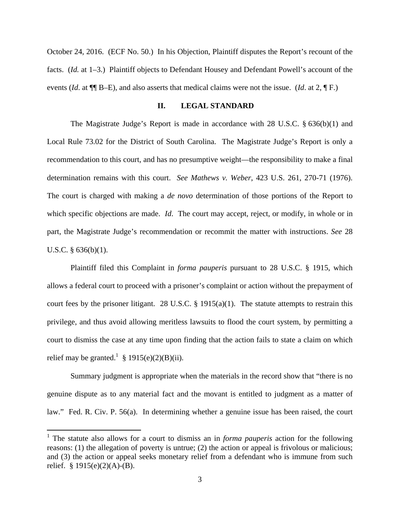October 24, 2016. (ECF No. 50.) In his Objection, Plaintiff disputes the Report's recount of the facts. (*Id.* at 1–3.) Plaintiff objects to Defendant Housey and Defendant Powell's account of the events (*Id*. at ¶¶ B–E), and also asserts that medical claims were not the issue. (*Id*. at 2, ¶ F.)

#### **II. LEGAL STANDARD**

The Magistrate Judge's Report is made in accordance with 28 U.S.C. § 636(b)(1) and Local Rule 73.02 for the District of South Carolina. The Magistrate Judge's Report is only a recommendation to this court, and has no presumptive weight—the responsibility to make a final determination remains with this court. *See Mathews v. Weber*, 423 U.S. 261, 270-71 (1976). The court is charged with making a *de novo* determination of those portions of the Report to which specific objections are made. *Id*. The court may accept, reject, or modify, in whole or in part, the Magistrate Judge's recommendation or recommit the matter with instructions. *See* 28 U.S.C. § 636(b)(1).

Plaintiff filed this Complaint in *forma pauperis* pursuant to 28 U.S.C. § 1915, which allows a federal court to proceed with a prisoner's complaint or action without the prepayment of court fees by the prisoner litigant. 28 U.S.C.  $\S$  1915(a)(1). The statute attempts to restrain this privilege, and thus avoid allowing meritless lawsuits to flood the court system, by permitting a court to dismiss the case at any time upon finding that the action fails to state a claim on which relief may be granted.<sup>1</sup> § 1915(e)(2)(B)(ii).

 Summary judgment is appropriate when the materials in the record show that "there is no genuine dispute as to any material fact and the movant is entitled to judgment as a matter of law." Fed. R. Civ. P. 56(a). In determining whether a genuine issue has been raised, the court

<sup>&</sup>lt;sup>1</sup> The statute also allows for a court to dismiss an in *forma pauperis* action for the following reasons: (1) the allegation of poverty is untrue; (2) the action or appeal is frivolous or malicious; and (3) the action or appeal seeks monetary relief from a defendant who is immune from such relief.  $§ 1915(e)(2)(A)-(B)$ .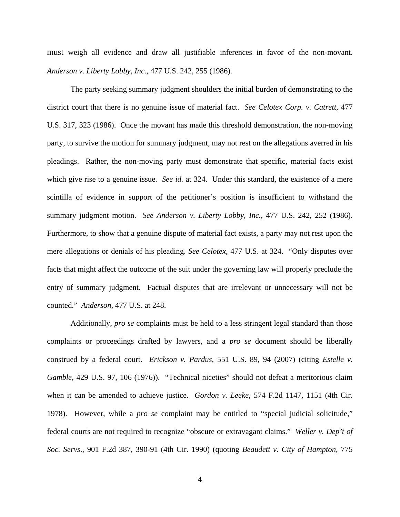must weigh all evidence and draw all justifiable inferences in favor of the non-movant. *Anderson v. Liberty Lobby, Inc.*, 477 U.S. 242, 255 (1986).

The party seeking summary judgment shoulders the initial burden of demonstrating to the district court that there is no genuine issue of material fact. *See Celotex Corp. v. Catrett*, 477 U.S. 317, 323 (1986). Once the movant has made this threshold demonstration, the non-moving party, to survive the motion for summary judgment, may not rest on the allegations averred in his pleadings. Rather, the non-moving party must demonstrate that specific, material facts exist which give rise to a genuine issue. *See id.* at 324. Under this standard, the existence of a mere scintilla of evidence in support of the petitioner's position is insufficient to withstand the summary judgment motion. *See Anderson v. Liberty Lobby, Inc.*, 477 U.S. 242, 252 (1986). Furthermore, to show that a genuine dispute of material fact exists, a party may not rest upon the mere allegations or denials of his pleading. *See Celotex*, 477 U.S. at 324. "Only disputes over facts that might affect the outcome of the suit under the governing law will properly preclude the entry of summary judgment. Factual disputes that are irrelevant or unnecessary will not be counted." *Anderson*, 477 U.S. at 248.

Additionally, *pro se* complaints must be held to a less stringent legal standard than those complaints or proceedings drafted by lawyers, and a *pro se* document should be liberally construed by a federal court. *Erickson v. Pardus*, 551 U.S. 89, 94 (2007) (citing *Estelle v. Gamble*, 429 U.S. 97, 106 (1976)). "Technical niceties" should not defeat a meritorious claim when it can be amended to achieve justice. *Gordon v. Leeke*, 574 F.2d 1147, 1151 (4th Cir. 1978). However, while a *pro se* complaint may be entitled to "special judicial solicitude," federal courts are not required to recognize "obscure or extravagant claims." *Weller v. Dep't of Soc. Servs*., 901 F.2d 387, 390-91 (4th Cir. 1990) (quoting *Beaudett v. City of Hampton*, 775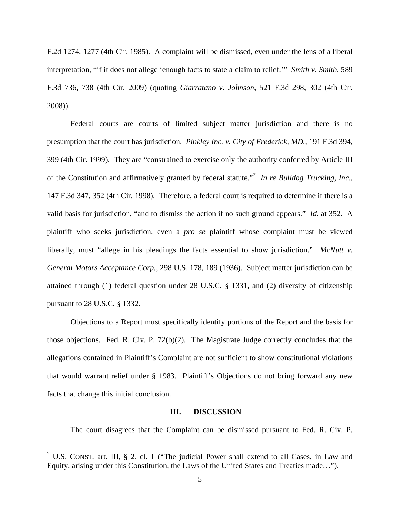F.2d 1274, 1277 (4th Cir. 1985). A complaint will be dismissed, even under the lens of a liberal interpretation, "if it does not allege 'enough facts to state a claim to relief.'" *Smith v. Smith*, 589 F.3d 736, 738 (4th Cir. 2009) (quoting *Giarratano v. Johnson*, 521 F.3d 298, 302 (4th Cir. 2008)).

Federal courts are courts of limited subject matter jurisdiction and there is no presumption that the court has jurisdiction. *Pinkley Inc. v. City of Frederick, MD*., 191 F.3d 394, 399 (4th Cir. 1999). They are "constrained to exercise only the authority conferred by Article III of the Constitution and affirmatively granted by federal statute."<sup>2</sup> In re Bulldog Trucking, Inc., 147 F.3d 347, 352 (4th Cir. 1998). Therefore, a federal court is required to determine if there is a valid basis for jurisdiction, "and to dismiss the action if no such ground appears." *Id.* at 352. A plaintiff who seeks jurisdiction, even a *pro se* plaintiff whose complaint must be viewed liberally, must "allege in his pleadings the facts essential to show jurisdiction." *McNutt v. General Motors Acceptance Corp.*, 298 U.S. 178, 189 (1936). Subject matter jurisdiction can be attained through (1) federal question under 28 U.S.C. § 1331, and (2) diversity of citizenship pursuant to 28 U.S.C. § 1332.

Objections to a Report must specifically identify portions of the Report and the basis for those objections. Fed. R. Civ. P. 72(b)(2). The Magistrate Judge correctly concludes that the allegations contained in Plaintiff's Complaint are not sufficient to show constitutional violations that would warrant relief under § 1983. Plaintiff's Objections do not bring forward any new facts that change this initial conclusion.

#### **III. DISCUSSION**

The court disagrees that the Complaint can be dismissed pursuant to Fed. R. Civ. P.

<sup>&</sup>lt;sup>2</sup> U.S. CONST. art. III, § 2, cl. 1 ("The judicial Power shall extend to all Cases, in Law and Equity, arising under this Constitution, the Laws of the United States and Treaties made…").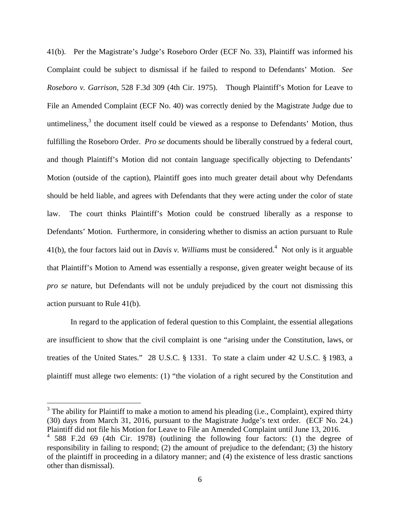41(b). Per the Magistrate's Judge's Roseboro Order (ECF No. 33), Plaintiff was informed his Complaint could be subject to dismissal if he failed to respond to Defendants' Motion. *See Roseboro v. Garrison*, 528 F.3d 309 (4th Cir. 1975). Though Plaintiff's Motion for Leave to File an Amended Complaint (ECF No. 40) was correctly denied by the Magistrate Judge due to untimeliness, $3$  the document itself could be viewed as a response to Defendants' Motion, thus fulfilling the Roseboro Order. *Pro se* documents should be liberally construed by a federal court, and though Plaintiff's Motion did not contain language specifically objecting to Defendants' Motion (outside of the caption), Plaintiff goes into much greater detail about why Defendants should be held liable, and agrees with Defendants that they were acting under the color of state law. The court thinks Plaintiff's Motion could be construed liberally as a response to Defendants' Motion. Furthermore, in considering whether to dismiss an action pursuant to Rule 41(b), the four factors laid out in *Davis v. William*s must be considered.<sup>4</sup> Not only is it arguable that Plaintiff's Motion to Amend was essentially a response, given greater weight because of its *pro se* nature, but Defendants will not be unduly prejudiced by the court not dismissing this action pursuant to Rule 41(b).

In regard to the application of federal question to this Complaint, the essential allegations are insufficient to show that the civil complaint is one "arising under the Constitution, laws, or treaties of the United States." 28 U.S.C. § 1331. To state a claim under 42 U.S.C. § 1983, a plaintiff must allege two elements: (1) "the violation of a right secured by the Constitution and

 $3$  The ability for Plaintiff to make a motion to amend his pleading (i.e., Complaint), expired thirty (30) days from March 31, 2016, pursuant to the Magistrate Judge's text order. (ECF No. 24.) Plaintiff did not file his Motion for Leave to File an Amended Complaint until June 13, 2016.

<sup>4</sup> 588 F.2d 69 (4th Cir. 1978) (outlining the following four factors: (1) the degree of responsibility in failing to respond; (2) the amount of prejudice to the defendant; (3) the history of the plaintiff in proceeding in a dilatory manner; and (4) the existence of less drastic sanctions other than dismissal).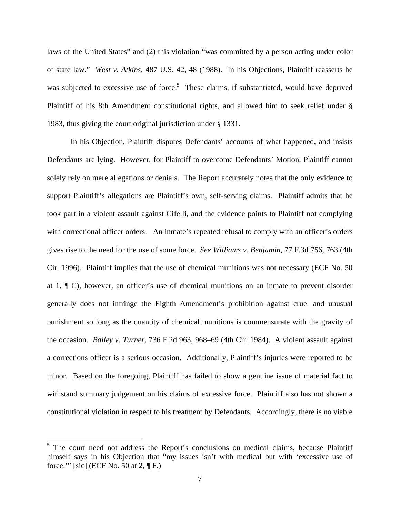laws of the United States" and (2) this violation "was committed by a person acting under color of state law." *West v. Atkins*, 487 U.S. 42, 48 (1988). In his Objections, Plaintiff reasserts he was subjected to excessive use of force.<sup>5</sup> These claims, if substantiated, would have deprived Plaintiff of his 8th Amendment constitutional rights, and allowed him to seek relief under § 1983, thus giving the court original jurisdiction under § 1331.

In his Objection, Plaintiff disputes Defendants' accounts of what happened, and insists Defendants are lying. However, for Plaintiff to overcome Defendants' Motion, Plaintiff cannot solely rely on mere allegations or denials. The Report accurately notes that the only evidence to support Plaintiff's allegations are Plaintiff's own, self-serving claims. Plaintiff admits that he took part in a violent assault against Cifelli, and the evidence points to Plaintiff not complying with correctional officer orders. An inmate's repeated refusal to comply with an officer's orders gives rise to the need for the use of some force. *See Williams v. Benjamin*, 77 F.3d 756, 763 (4th Cir. 1996). Plaintiff implies that the use of chemical munitions was not necessary (ECF No. 50 at 1, ¶ C), however, an officer's use of chemical munitions on an inmate to prevent disorder generally does not infringe the Eighth Amendment's prohibition against cruel and unusual punishment so long as the quantity of chemical munitions is commensurate with the gravity of the occasion. *Bailey v. Turner*, 736 F.2d 963, 968–69 (4th Cir. 1984). A violent assault against a corrections officer is a serious occasion. Additionally, Plaintiff's injuries were reported to be minor. Based on the foregoing, Plaintiff has failed to show a genuine issue of material fact to withstand summary judgement on his claims of excessive force. Plaintiff also has not shown a constitutional violation in respect to his treatment by Defendants.Accordingly, there is no viable

<sup>&</sup>lt;sup>5</sup> The court need not address the Report's conclusions on medical claims, because Plaintiff himself says in his Objection that "my issues isn't with medical but with 'excessive use of force.'" [sic] (ECF No. 50 at 2,  $\P$  F.)